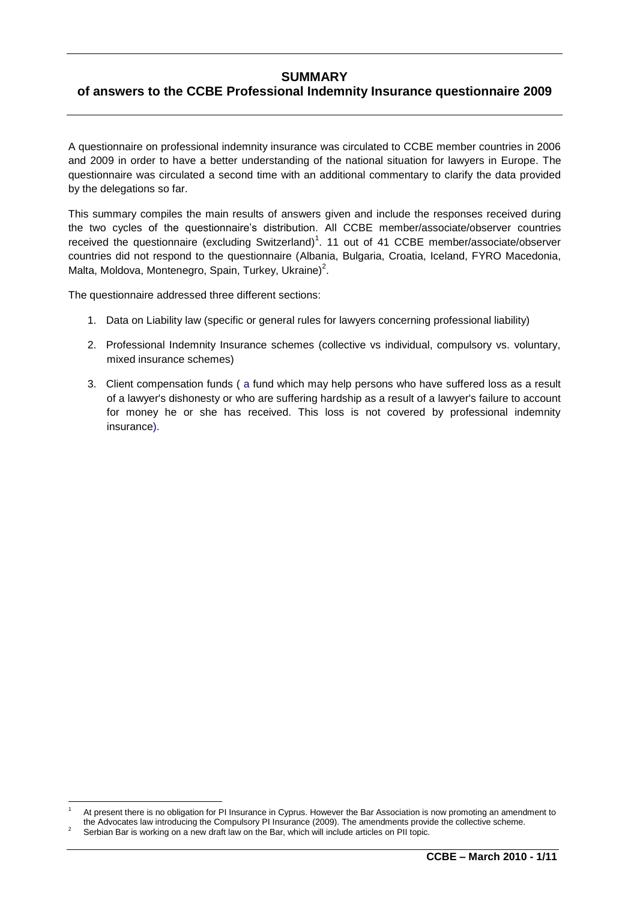# **SUMMARY**

# **of answers to the CCBE Professional Indemnity Insurance questionnaire 2009**

A questionnaire on professional indemnity insurance was circulated to CCBE member countries in 2006 and 2009 in order to have a better understanding of the national situation for lawyers in Europe. The questionnaire was circulated a second time with an additional commentary to clarify the data provided by the delegations so far.

This summary compiles the main results of answers given and include the responses received during the two cycles of the questionnaire's distribution. All CCBE member/associate/observer countries received the questionnaire (excluding Switzerland)<sup>1</sup>. 11 out of 41 CCBE member/associate/observer countries did not respond to the questionnaire (Albania, Bulgaria, Croatia, Iceland, FYRO Macedonia, Malta, Moldova, Montenegro, Spain, Turkey, Ukraine)<sup>2</sup>.

The questionnaire addressed three different sections:

- 1. Data on Liability law (specific or general rules for lawyers concerning professional liability)
- 2. Professional Indemnity Insurance schemes (collective vs individual, compulsory vs. voluntary, mixed insurance schemes)
- 3. Client compensation funds ( a fund which may help persons who have suffered loss as a result of a lawyer's dishonesty or who are suffering hardship as a result of a lawyer's failure to account for money he or she has received. This loss is not covered by professional indemnity insurance).

 $\overline{\phantom{a}}$ 

At present there is no obligation for PI Insurance in Cyprus. However the Bar Association is now promoting an amendment to the Advocates law introducing the Compulsory PI Insurance (2009). The amendments provide the collective scheme.

<sup>2</sup> Serbian Bar is working on a new draft law on the Bar, which will include articles on PII topic.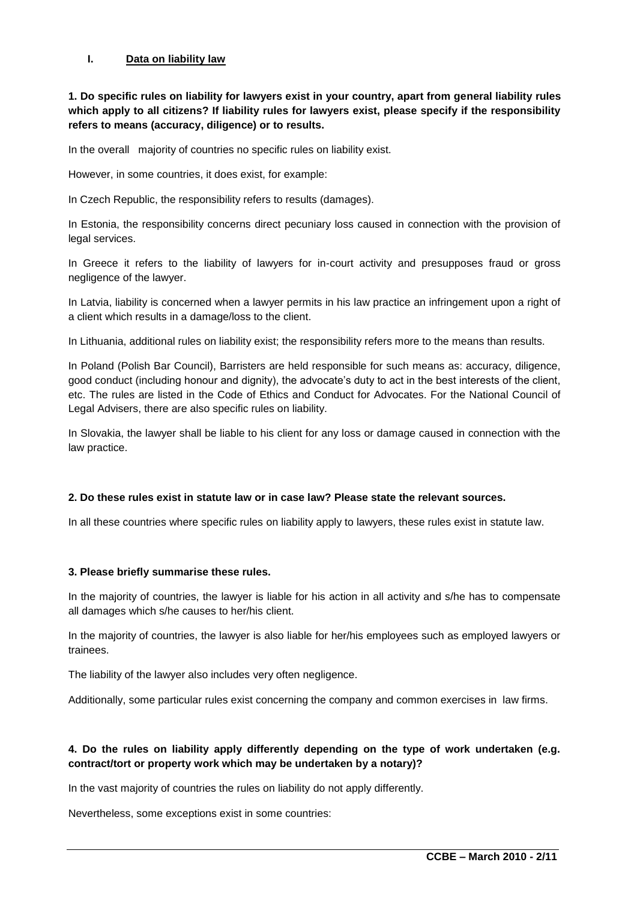### **I. Data on liability law**

**1. Do specific rules on liability for lawyers exist in your country, apart from general liability rules which apply to all citizens? If liability rules for lawyers exist, please specify if the responsibility refers to means (accuracy, diligence) or to results.**

In the overall majority of countries no specific rules on liability exist.

However, in some countries, it does exist, for example:

In Czech Republic, the responsibility refers to results (damages).

In Estonia, the responsibility concerns direct pecuniary loss caused in connection with the provision of legal services.

In Greece it refers to the liability of lawyers for in-court activity and presupposes fraud or gross negligence of the lawyer.

In Latvia, liability is concerned when a lawyer permits in his law practice an infringement upon a right of a client which results in a damage/loss to the client.

In Lithuania, additional rules on liability exist; the responsibility refers more to the means than results.

In Poland (Polish Bar Council), Barristers are held responsible for such means as: accuracy, diligence, good conduct (including honour and dignity), the advocate's duty to act in the best interests of the client, etc. The rules are listed in the Code of Ethics and Conduct for Advocates. For the National Council of Legal Advisers, there are also specific rules on liability.

In Slovakia, the lawyer shall be liable to his client for any loss or damage caused in connection with the law practice.

### **2. Do these rules exist in statute law or in case law? Please state the relevant sources.**

In all these countries where specific rules on liability apply to lawyers, these rules exist in statute law.

### **3. Please briefly summarise these rules.**

In the majority of countries, the lawyer is liable for his action in all activity and s/he has to compensate all damages which s/he causes to her/his client.

In the majority of countries, the lawyer is also liable for her/his employees such as employed lawyers or trainees.

The liability of the lawyer also includes very often negligence.

Additionally, some particular rules exist concerning the company and common exercises in law firms.

# **4. Do the rules on liability apply differently depending on the type of work undertaken (e.g. contract/tort or property work which may be undertaken by a notary)?**

In the vast majority of countries the rules on liability do not apply differently.

Nevertheless, some exceptions exist in some countries: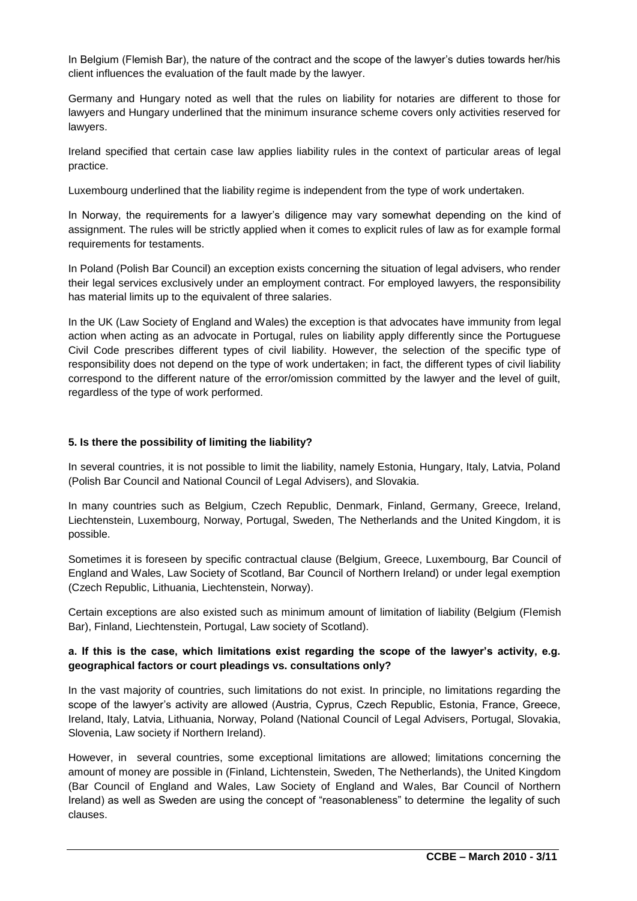In Belgium (Flemish Bar), the nature of the contract and the scope of the lawyer's duties towards her/his client influences the evaluation of the fault made by the lawyer.

Germany and Hungary noted as well that the rules on liability for notaries are different to those for lawyers and Hungary underlined that the minimum insurance scheme covers only activities reserved for lawyers.

Ireland specified that certain case law applies liability rules in the context of particular areas of legal practice.

Luxembourg underlined that the liability regime is independent from the type of work undertaken.

In Norway, the requirements for a lawyer's diligence may vary somewhat depending on the kind of assignment. The rules will be strictly applied when it comes to explicit rules of law as for example formal requirements for testaments.

In Poland (Polish Bar Council) an exception exists concerning the situation of legal advisers, who render their legal services exclusively under an employment contract. For employed lawyers, the responsibility has material limits up to the equivalent of three salaries.

In the UK (Law Society of England and Wales) the exception is that advocates have immunity from legal action when acting as an advocate in Portugal, rules on liability apply differently since the Portuguese Civil Code prescribes different types of civil liability. However, the selection of the specific type of responsibility does not depend on the type of work undertaken; in fact, the different types of civil liability correspond to the different nature of the error/omission committed by the lawyer and the level of guilt, regardless of the type of work performed.

### **5. Is there the possibility of limiting the liability?**

In several countries, it is not possible to limit the liability, namely Estonia, Hungary, Italy, Latvia, Poland (Polish Bar Council and National Council of Legal Advisers), and Slovakia.

In many countries such as Belgium, Czech Republic, Denmark, Finland, Germany, Greece, Ireland, Liechtenstein, Luxembourg, Norway, Portugal, Sweden, The Netherlands and the United Kingdom, it is possible.

Sometimes it is foreseen by specific contractual clause (Belgium, Greece, Luxembourg, Bar Council of England and Wales, Law Society of Scotland, Bar Council of Northern Ireland) or under legal exemption (Czech Republic, Lithuania, Liechtenstein, Norway).

Certain exceptions are also existed such as minimum amount of limitation of liability (Belgium (Flemish Bar), Finland, Liechtenstein, Portugal, Law society of Scotland).

# **a. If this is the case, which limitations exist regarding the scope of the lawyer's activity, e.g. geographical factors or court pleadings vs. consultations only?**

In the vast majority of countries, such limitations do not exist. In principle, no limitations regarding the scope of the lawyer"s activity are allowed (Austria, Cyprus, Czech Republic, Estonia, France, Greece, Ireland, Italy, Latvia, Lithuania, Norway, Poland (National Council of Legal Advisers, Portugal, Slovakia, Slovenia, Law society if Northern Ireland).

However, in several countries, some exceptional limitations are allowed; limitations concerning the amount of money are possible in (Finland, Lichtenstein, Sweden, The Netherlands), the United Kingdom (Bar Council of England and Wales, Law Society of England and Wales, Bar Council of Northern Ireland) as well as Sweden are using the concept of "reasonableness" to determine the legality of such clauses.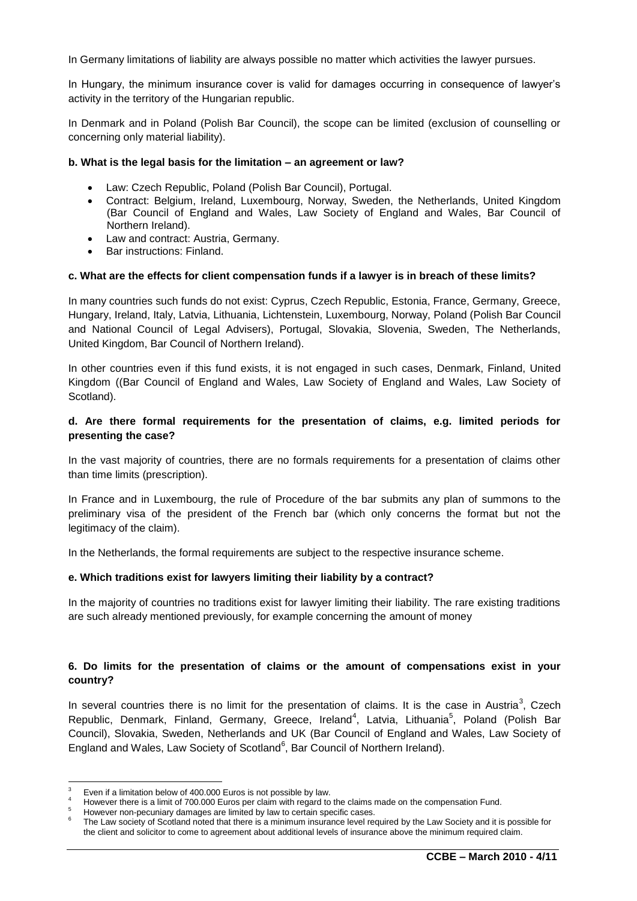In Germany limitations of liability are always possible no matter which activities the lawyer pursues.

In Hungary, the minimum insurance cover is valid for damages occurring in consequence of lawyer"s activity in the territory of the Hungarian republic.

In Denmark and in Poland (Polish Bar Council), the scope can be limited (exclusion of counselling or concerning only material liability).

#### **b. What is the legal basis for the limitation – an agreement or law?**

- Law: Czech Republic, Poland (Polish Bar Council), Portugal.
- Contract: Belgium, Ireland, Luxembourg, Norway, Sweden, the Netherlands, United Kingdom (Bar Council of England and Wales, Law Society of England and Wales, Bar Council of Northern Ireland).
- Law and contract: Austria, Germany.
- Bar instructions: Finland.

### **c. What are the effects for client compensation funds if a lawyer is in breach of these limits?**

In many countries such funds do not exist: Cyprus, Czech Republic, Estonia, France, Germany, Greece, Hungary, Ireland, Italy, Latvia, Lithuania, Lichtenstein, Luxembourg, Norway, Poland (Polish Bar Council and National Council of Legal Advisers), Portugal, Slovakia, Slovenia, Sweden, The Netherlands, United Kingdom, Bar Council of Northern Ireland).

In other countries even if this fund exists, it is not engaged in such cases, Denmark, Finland, United Kingdom ((Bar Council of England and Wales, Law Society of England and Wales, Law Society of Scotland).

### **d. Are there formal requirements for the presentation of claims, e.g. limited periods for presenting the case?**

In the vast majority of countries, there are no formals requirements for a presentation of claims other than time limits (prescription).

In France and in Luxembourg, the rule of Procedure of the bar submits any plan of summons to the preliminary visa of the president of the French bar (which only concerns the format but not the legitimacy of the claim).

In the Netherlands, the formal requirements are subject to the respective insurance scheme.

### **e. Which traditions exist for lawyers limiting their liability by a contract?**

In the majority of countries no traditions exist for lawyer limiting their liability. The rare existing traditions are such already mentioned previously, for example concerning the amount of money

# **6. Do limits for the presentation of claims or the amount of compensations exist in your country?**

In several countries there is no limit for the presentation of claims. It is the case in Austria<sup>3</sup>, Czech Republic, Denmark, Finland, Germany, Greece, Ireland<sup>4</sup>, Latvia, Lithuania<sup>5</sup>, Poland (Polish Bar Council), Slovakia, Sweden, Netherlands and UK (Bar Council of England and Wales, Law Society of England and Wales, Law Society of Scotland<sup>6</sup>, Bar Council of Northern Ireland).

 $\overline{\phantom{a}}$ Even if a limitation below of 400.000 Euros is not possible by law.

<sup>4</sup> However there is a limit of 700.000 Euros per claim with regard to the claims made on the compensation Fund.

However non-pecuniary damages are limited by law to certain specific cases.

<sup>6</sup> The Law society of Scotland noted that there is a minimum insurance level required by the Law Society and it is possible for the client and solicitor to come to agreement about additional levels of insurance above the minimum required claim.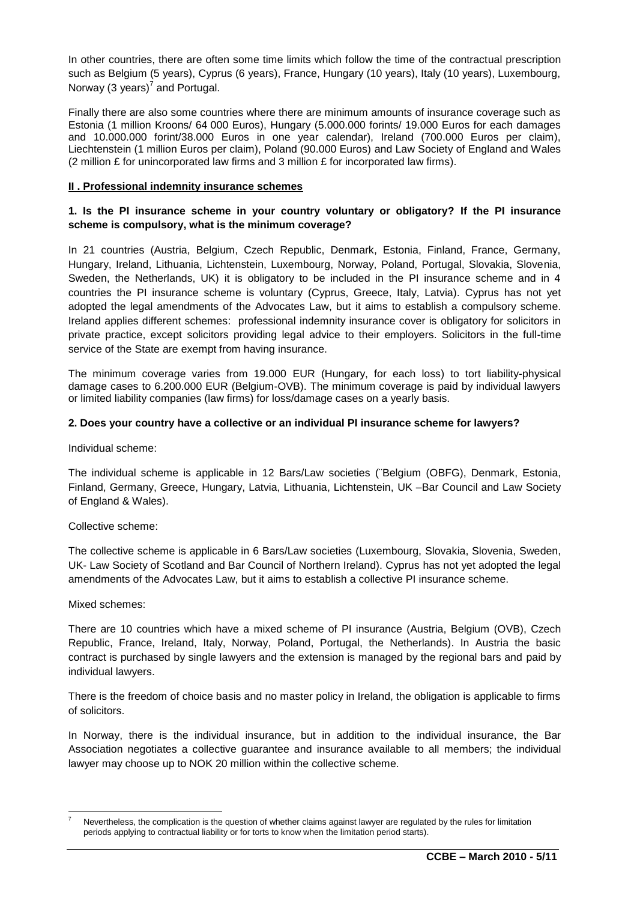In other countries, there are often some time limits which follow the time of the contractual prescription such as Belgium (5 years), Cyprus (6 years), France, Hungary (10 years), Italy (10 years), Luxembourg, Norway (3 years) $^7$  and Portugal.

Finally there are also some countries where there are minimum amounts of insurance coverage such as Estonia (1 million Kroons/ 64 000 Euros), Hungary (5.000.000 forints/ 19.000 Euros for each damages and 10.000.000 forint/38.000 Euros in one year calendar), Ireland (700.000 Euros per claim), Liechtenstein (1 million Euros per claim), Poland (90.000 Euros) and Law Society of England and Wales (2 million  $E$  for unincorporated law firms and 3 million  $E$  for incorporated law firms).

## **II . Professional indemnity insurance schemes**

# **1. Is the PI insurance scheme in your country voluntary or obligatory? If the PI insurance scheme is compulsory, what is the minimum coverage?**

In 21 countries (Austria, Belgium, Czech Republic, Denmark, Estonia, Finland, France, Germany, Hungary, Ireland, Lithuania, Lichtenstein, Luxembourg, Norway, Poland, Portugal, Slovakia, Slovenia, Sweden, the Netherlands, UK) it is obligatory to be included in the PI insurance scheme and in 4 countries the PI insurance scheme is voluntary (Cyprus, Greece, Italy, Latvia). Cyprus has not yet adopted the legal amendments of the Advocates Law, but it aims to establish a compulsory scheme. Ireland applies different schemes: professional indemnity insurance cover is obligatory for solicitors in private practice, except solicitors providing legal advice to their employers. Solicitors in the full-time service of the State are exempt from having insurance.

The minimum coverage varies from 19.000 EUR (Hungary, for each loss) to tort liability-physical damage cases to 6.200.000 EUR (Belgium-OVB). The minimum coverage is paid by individual lawyers or limited liability companies (law firms) for loss/damage cases on a yearly basis.

### **2. Does your country have a collective or an individual PI insurance scheme for lawyers?**

Individual scheme:

The individual scheme is applicable in 12 Bars/Law societies (¨Belgium (OBFG), Denmark, Estonia, Finland, Germany, Greece, Hungary, Latvia, Lithuania, Lichtenstein, UK –Bar Council and Law Society of England & Wales).

### Collective scheme:

The collective scheme is applicable in 6 Bars/Law societies (Luxembourg, Slovakia, Slovenia, Sweden, UK- Law Society of Scotland and Bar Council of Northern Ireland). Cyprus has not yet adopted the legal amendments of the Advocates Law, but it aims to establish a collective PI insurance scheme.

### Mixed schemes:

There are 10 countries which have a mixed scheme of PI insurance (Austria, Belgium (OVB), Czech Republic, France, Ireland, Italy, Norway, Poland, Portugal, the Netherlands). In Austria the basic contract is purchased by single lawyers and the extension is managed by the regional bars and paid by individual lawyers.

There is the freedom of choice basis and no master policy in Ireland, the obligation is applicable to firms of solicitors.

In Norway, there is the individual insurance, but in addition to the individual insurance, the Bar Association negotiates a collective guarantee and insurance available to all members; the individual lawyer may choose up to NOK 20 million within the collective scheme.

 $\overline{a}$ Nevertheless, the complication is the question of whether claims against lawyer are regulated by the rules for limitation periods applying to contractual liability or for torts to know when the limitation period starts).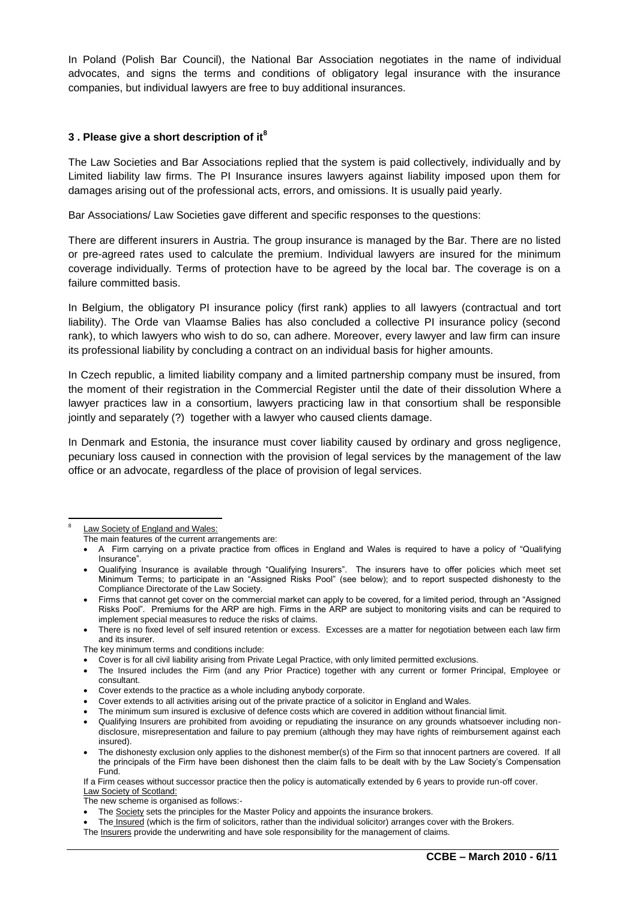In Poland (Polish Bar Council), the National Bar Association negotiates in the name of individual advocates, and signs the terms and conditions of obligatory legal insurance with the insurance companies, but individual lawyers are free to buy additional insurances.

## **3 . Please give a short description of it<sup>8</sup>**

The Law Societies and Bar Associations replied that the system is paid collectively, individually and by Limited liability law firms. The PI Insurance insures lawyers against liability imposed upon them for damages arising out of the professional acts, errors, and omissions. It is usually paid yearly.

Bar Associations/ Law Societies gave different and specific responses to the questions:

There are different insurers in Austria. The group insurance is managed by the Bar. There are no listed or pre-agreed rates used to calculate the premium. Individual lawyers are insured for the minimum coverage individually. Terms of protection have to be agreed by the local bar. The coverage is on a failure committed basis.

In Belgium, the obligatory PI insurance policy (first rank) applies to all lawyers (contractual and tort liability). The Orde van Vlaamse Balies has also concluded a collective PI insurance policy (second rank), to which lawyers who wish to do so, can adhere. Moreover, every lawyer and law firm can insure its professional liability by concluding a contract on an individual basis for higher amounts.

In Czech republic, a limited liability company and a limited partnership company must be insured, from the moment of their registration in the Commercial Register until the date of their dissolution Where a lawyer practices law in a consortium, lawyers practicing law in that consortium shall be responsible jointly and separately (?) together with a lawyer who caused clients damage.

In Denmark and Estonia, the insurance must cover liability caused by ordinary and gross negligence, pecuniary loss caused in connection with the provision of legal services by the management of the law office or an advocate, regardless of the place of provision of legal services.

- Cover extends to the practice as a whole including anybody corporate.
- Cover extends to all activities arising out of the private practice of a solicitor in England and Wales.
- The minimum sum insured is exclusive of defence costs which are covered in addition without financial limit.

 $\overline{a}$ 8 Law Society of England and Wales:

The main features of the current arrangements are:

A Firm carrying on a private practice from offices in England and Wales is required to have a policy of "Qualifying Insurance".

Qualifying Insurance is available through "Qualifying Insurers". The insurers have to offer policies which meet set Minimum Terms; to participate in an "Assigned Risks Pool" (see below); and to report suspected dishonesty to the Compliance Directorate of the Law Society.

Firms that cannot get cover on the commercial market can apply to be covered, for a limited period, through an "Assigned Risks Pool". Premiums for the ARP are high. Firms in the ARP are subject to monitoring visits and can be required to implement special measures to reduce the risks of claims.

There is no fixed level of self insured retention or excess. Excesses are a matter for negotiation between each law firm and its insurer.

The key minimum terms and conditions include:

Cover is for all civil liability arising from Private Legal Practice, with only limited permitted exclusions.

The Insured includes the Firm (and any Prior Practice) together with any current or former Principal, Employee or consultant.

Qualifying Insurers are prohibited from avoiding or repudiating the insurance on any grounds whatsoever including nondisclosure, misrepresentation and failure to pay premium (although they may have rights of reimbursement against each insured).

The dishonesty exclusion only applies to the dishonest member(s) of the Firm so that innocent partners are covered. If all the principals of the Firm have been dishonest then the claim falls to be dealt with by the Law Society"s Compensation Fund.

If a Firm ceases without successor practice then the policy is automatically extended by 6 years to provide run-off cover. Law Society of Scotland:

The new scheme is organised as follows:-

The Society sets the principles for the Master Policy and appoints the insurance brokers.

The Insured (which is the firm of solicitors, rather than the individual solicitor) arranges cover with the Brokers.

The Insurers provide the underwriting and have sole responsibility for the management of claims.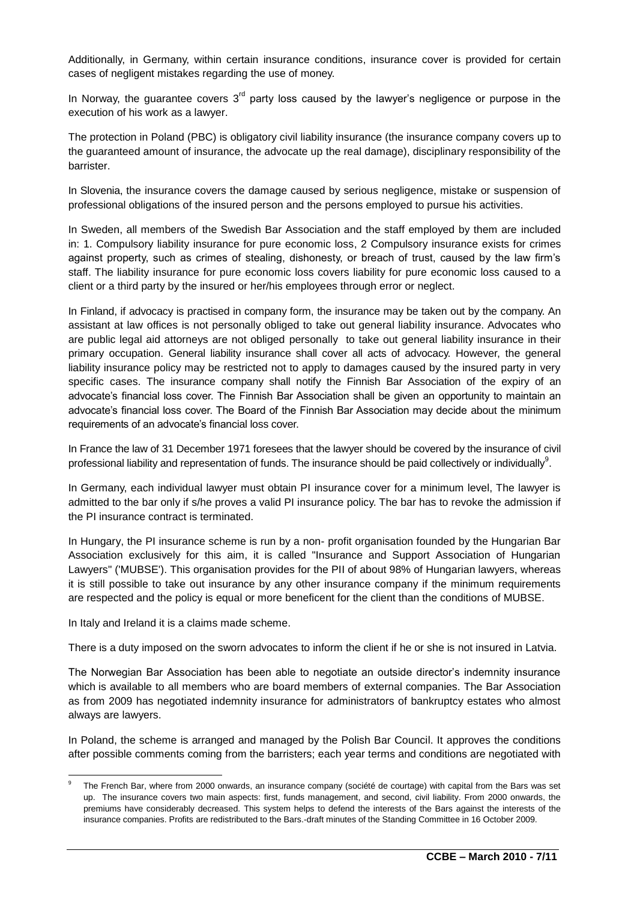Additionally, in Germany, within certain insurance conditions, insurance cover is provided for certain cases of negligent mistakes regarding the use of money.

In Norway, the guarantee covers  $3<sup>rd</sup>$  party loss caused by the lawyer's negligence or purpose in the execution of his work as a lawyer.

The protection in Poland (PBC) is obligatory civil liability insurance (the insurance company covers up to the guaranteed amount of insurance, the advocate up the real damage), disciplinary responsibility of the barrister.

In Slovenia, the insurance covers the damage caused by serious negligence, mistake or suspension of professional obligations of the insured person and the persons employed to pursue his activities.

In Sweden, all members of the Swedish Bar Association and the staff employed by them are included in: 1. Compulsory liability insurance for pure economic loss, 2 Compulsory insurance exists for crimes against property, such as crimes of stealing, dishonesty, or breach of trust, caused by the law firm"s staff. The liability insurance for pure economic loss covers liability for pure economic loss caused to a client or a third party by the insured or her/his employees through error or neglect.

In Finland, if advocacy is practised in company form, the insurance may be taken out by the company. An assistant at law offices is not personally obliged to take out general liability insurance. Advocates who are public legal aid attorneys are not obliged personally to take out general liability insurance in their primary occupation. General liability insurance shall cover all acts of advocacy. However, the general liability insurance policy may be restricted not to apply to damages caused by the insured party in very specific cases. The insurance company shall notify the Finnish Bar Association of the expiry of an advocate"s financial loss cover. The Finnish Bar Association shall be given an opportunity to maintain an advocate's financial loss cover. The Board of the Finnish Bar Association may decide about the minimum requirements of an advocate's financial loss cover.

In France the law of 31 December 1971 foresees that the lawyer should be covered by the insurance of civil professional liability and representation of funds. The insurance should be paid collectively or individually $^9$ .

In Germany, each individual lawyer must obtain PI insurance cover for a minimum level, The lawyer is admitted to the bar only if s/he proves a valid PI insurance policy. The bar has to revoke the admission if the PI insurance contract is terminated.

In Hungary, the PI insurance scheme is run by a non- profit organisation founded by the Hungarian Bar Association exclusively for this aim, it is called "Insurance and Support Association of Hungarian Lawyers" ('MUBSE'). This organisation provides for the PII of about 98% of Hungarian lawyers, whereas it is still possible to take out insurance by any other insurance company if the minimum requirements are respected and the policy is equal or more beneficent for the client than the conditions of MUBSE.

In Italy and Ireland it is a claims made scheme.

There is a duty imposed on the sworn advocates to inform the client if he or she is not insured in Latvia.

The Norwegian Bar Association has been able to negotiate an outside director"s indemnity insurance which is available to all members who are board members of external companies. The Bar Association as from 2009 has negotiated indemnity insurance for administrators of bankruptcy estates who almost always are lawyers.

In Poland, the scheme is arranged and managed by the Polish Bar Council. It approves the conditions after possible comments coming from the barristers; each year terms and conditions are negotiated with

 $\overline{\phantom{a}}$ 9 The French Bar, where from 2000 onwards, an insurance company (société de courtage) with capital from the Bars was set up. The insurance covers two main aspects: first, funds management, and second, civil liability. From 2000 onwards, the premiums have considerably decreased. This system helps to defend the interests of the Bars against the interests of the insurance companies. Profits are redistributed to the Bars.-draft minutes of the Standing Committee in 16 October 2009.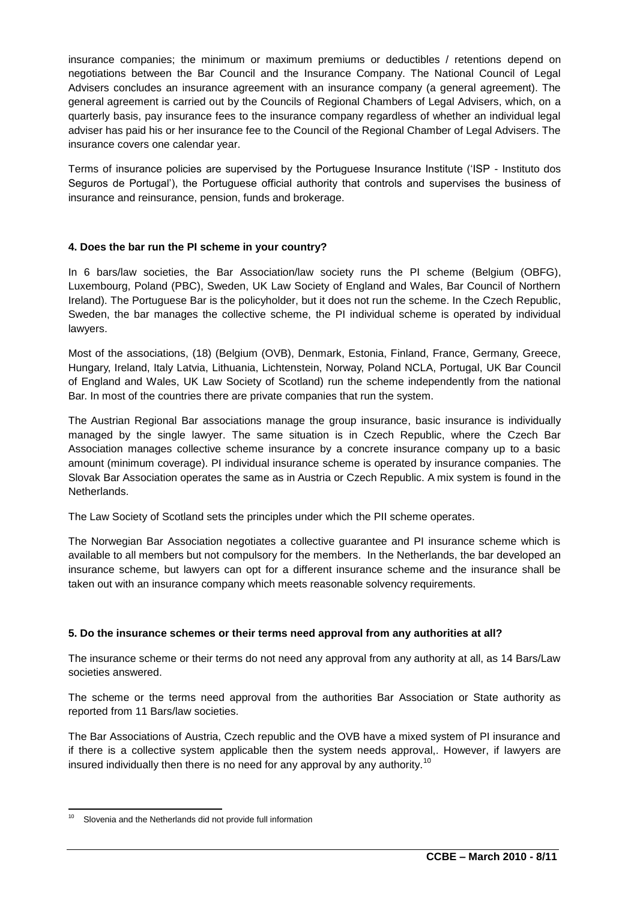insurance companies; the minimum or maximum premiums or deductibles / retentions depend on negotiations between the Bar Council and the Insurance Company. The National Council of Legal Advisers concludes an insurance agreement with an insurance company (a general agreement). The general agreement is carried out by the Councils of Regional Chambers of Legal Advisers, which, on a quarterly basis, pay insurance fees to the insurance company regardless of whether an individual legal adviser has paid his or her insurance fee to the Council of the Regional Chamber of Legal Advisers. The insurance covers one calendar year.

Terms of insurance policies are supervised by the Portuguese Insurance Institute ("ISP - Instituto dos Seguros de Portugal"), the Portuguese official authority that controls and supervises the business of insurance and reinsurance, pension, funds and brokerage.

# **4. Does the bar run the PI scheme in your country?**

In 6 bars/law societies, the Bar Association/law society runs the PI scheme (Belgium (OBFG), Luxembourg, Poland (PBC), Sweden, UK Law Society of England and Wales, Bar Council of Northern Ireland). The Portuguese Bar is the policyholder, but it does not run the scheme. In the Czech Republic, Sweden, the bar manages the collective scheme, the PI individual scheme is operated by individual lawyers.

Most of the associations, (18) (Belgium (OVB), Denmark, Estonia, Finland, France, Germany, Greece, Hungary, Ireland, Italy Latvia, Lithuania, Lichtenstein, Norway, Poland NCLA, Portugal, UK Bar Council of England and Wales, UK Law Society of Scotland) run the scheme independently from the national Bar. In most of the countries there are private companies that run the system.

The Austrian Regional Bar associations manage the group insurance, basic insurance is individually managed by the single lawyer. The same situation is in Czech Republic, where the Czech Bar Association manages collective scheme insurance by a concrete insurance company up to a basic amount (minimum coverage). PI individual insurance scheme is operated by insurance companies. The Slovak Bar Association operates the same as in Austria or Czech Republic. A mix system is found in the Netherlands.

The Law Society of Scotland sets the principles under which the PII scheme operates.

The Norwegian Bar Association negotiates a collective guarantee and PI insurance scheme which is available to all members but not compulsory for the members. In the Netherlands, the bar developed an insurance scheme, but lawyers can opt for a different insurance scheme and the insurance shall be taken out with an insurance company which meets reasonable solvency requirements.

### **5. Do the insurance schemes or their terms need approval from any authorities at all?**

The insurance scheme or their terms do not need any approval from any authority at all, as 14 Bars/Law societies answered.

The scheme or the terms need approval from the authorities Bar Association or State authority as reported from 11 Bars/law societies.

The Bar Associations of Austria, Czech republic and the OVB have a mixed system of PI insurance and if there is a collective system applicable then the system needs approval,. However, if lawyers are insured individually then there is no need for any approval by any authority.<sup>10</sup>

 $10$ Slovenia and the Netherlands did not provide full information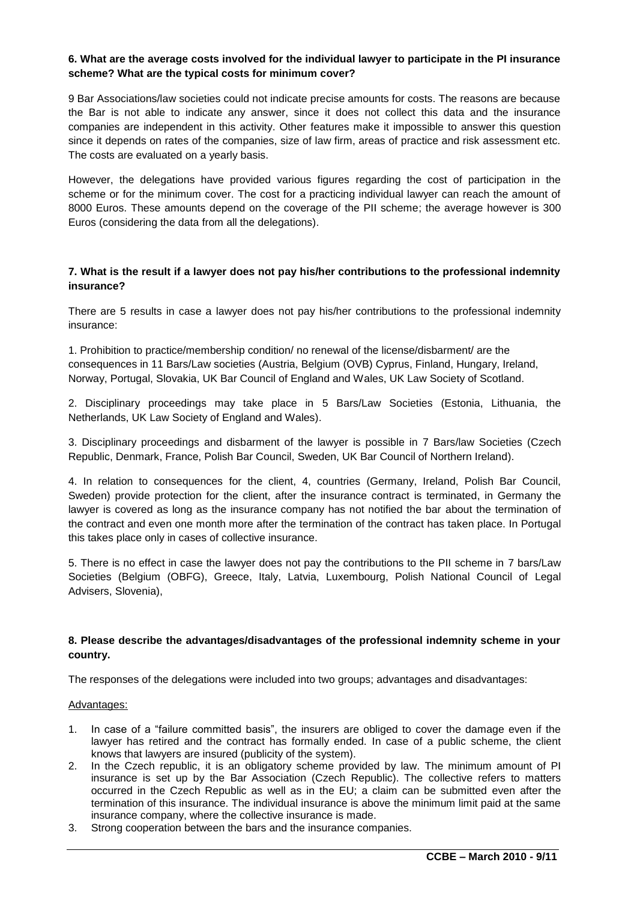### **6. What are the average costs involved for the individual lawyer to participate in the PI insurance scheme? What are the typical costs for minimum cover?**

9 Bar Associations/law societies could not indicate precise amounts for costs. The reasons are because the Bar is not able to indicate any answer, since it does not collect this data and the insurance companies are independent in this activity. Other features make it impossible to answer this question since it depends on rates of the companies, size of law firm, areas of practice and risk assessment etc. The costs are evaluated on a yearly basis.

However, the delegations have provided various figures regarding the cost of participation in the scheme or for the minimum cover. The cost for a practicing individual lawyer can reach the amount of 8000 Euros. These amounts depend on the coverage of the PII scheme; the average however is 300 Euros (considering the data from all the delegations).

# **7. What is the result if a lawyer does not pay his/her contributions to the professional indemnity insurance?**

There are 5 results in case a lawyer does not pay his/her contributions to the professional indemnity insurance:

1. Prohibition to practice/membership condition/ no renewal of the license/disbarment/ are the consequences in 11 Bars/Law societies (Austria, Belgium (OVB) Cyprus, Finland, Hungary, Ireland, Norway, Portugal, Slovakia, UK Bar Council of England and Wales, UK Law Society of Scotland.

2. Disciplinary proceedings may take place in 5 Bars/Law Societies (Estonia, Lithuania, the Netherlands, UK Law Society of England and Wales).

3. Disciplinary proceedings and disbarment of the lawyer is possible in 7 Bars/law Societies (Czech Republic, Denmark, France, Polish Bar Council, Sweden, UK Bar Council of Northern Ireland).

4. In relation to consequences for the client, 4, countries (Germany, Ireland, Polish Bar Council, Sweden) provide protection for the client, after the insurance contract is terminated, in Germany the lawyer is covered as long as the insurance company has not notified the bar about the termination of the contract and even one month more after the termination of the contract has taken place. In Portugal this takes place only in cases of collective insurance.

5. There is no effect in case the lawyer does not pay the contributions to the PII scheme in 7 bars/Law Societies (Belgium (OBFG), Greece, Italy, Latvia, Luxembourg, Polish National Council of Legal Advisers, Slovenia),

### **8. Please describe the advantages/disadvantages of the professional indemnity scheme in your country.**

The responses of the delegations were included into two groups; advantages and disadvantages:

### Advantages:

- 1. In case of a "failure committed basis", the insurers are obliged to cover the damage even if the lawyer has retired and the contract has formally ended. In case of a public scheme, the client knows that lawyers are insured (publicity of the system).
- 2. In the Czech republic, it is an obligatory scheme provided by law. The minimum amount of PI insurance is set up by the Bar Association (Czech Republic). The collective refers to matters occurred in the Czech Republic as well as in the EU; a claim can be submitted even after the termination of this insurance. The individual insurance is above the minimum limit paid at the same insurance company, where the collective insurance is made.
- 3. Strong cooperation between the bars and the insurance companies.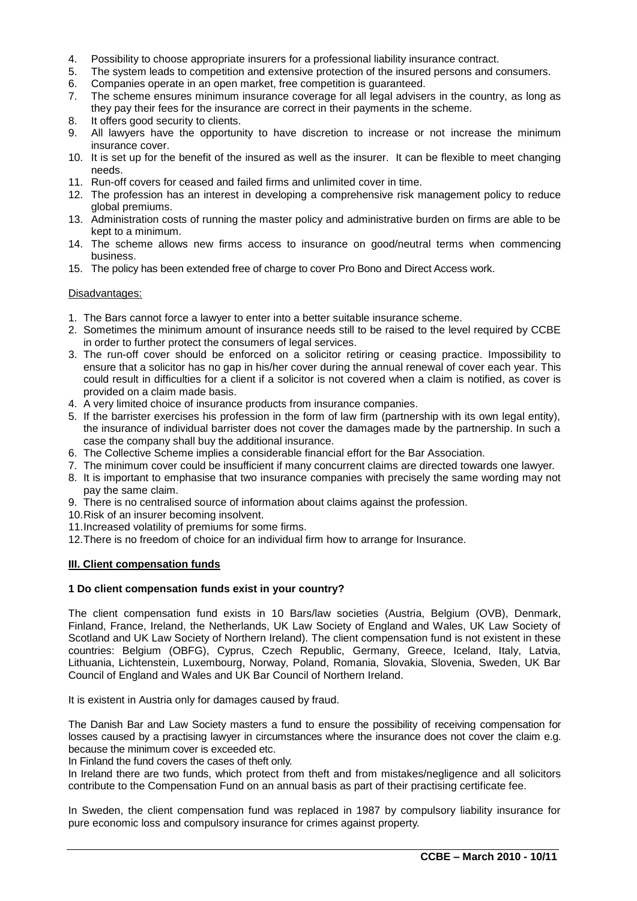- 4. Possibility to choose appropriate insurers for a professional liability insurance contract.
- 5. The system leads to competition and extensive protection of the insured persons and consumers.
- 6. Companies operate in an open market, free competition is guaranteed.
- 7. The scheme ensures minimum insurance coverage for all legal advisers in the country, as long as they pay their fees for the insurance are correct in their payments in the scheme.
- 8. It offers good security to clients.
- 9. All lawyers have the opportunity to have discretion to increase or not increase the minimum insurance cover.
- 10. It is set up for the benefit of the insured as well as the insurer. It can be flexible to meet changing needs.
- 11. Run-off covers for ceased and failed firms and unlimited cover in time.
- 12. The profession has an interest in developing a comprehensive risk management policy to reduce global premiums.
- 13. Administration costs of running the master policy and administrative burden on firms are able to be kept to a minimum.
- 14. The scheme allows new firms access to insurance on good/neutral terms when commencing business.
- 15. The policy has been extended free of charge to cover Pro Bono and Direct Access work.

#### Disadvantages:

- 1. The Bars cannot force a lawyer to enter into a better suitable insurance scheme.
- 2. Sometimes the minimum amount of insurance needs still to be raised to the level required by CCBE in order to further protect the consumers of legal services.
- 3. The run-off cover should be enforced on a solicitor retiring or ceasing practice. Impossibility to ensure that a solicitor has no gap in his/her cover during the annual renewal of cover each year. This could result in difficulties for a client if a solicitor is not covered when a claim is notified, as cover is provided on a claim made basis.
- 4. A very limited choice of insurance products from insurance companies.
- 5. If the barrister exercises his profession in the form of law firm (partnership with its own legal entity), the insurance of individual barrister does not cover the damages made by the partnership. In such a case the company shall buy the additional insurance.
- 6. The Collective Scheme implies a considerable financial effort for the Bar Association.
- 7. The minimum cover could be insufficient if many concurrent claims are directed towards one lawyer.
- 8. It is important to emphasise that two insurance companies with precisely the same wording may not pay the same claim.
- 9. There is no centralised source of information about claims against the profession.
- 10.Risk of an insurer becoming insolvent.
- 11.Increased volatility of premiums for some firms.
- 12.There is no freedom of choice for an individual firm how to arrange for Insurance.

#### **III. Client compensation funds**

#### **1 Do client compensation funds exist in your country?**

The client compensation fund exists in 10 Bars/law societies (Austria, Belgium (OVB), Denmark, Finland, France, Ireland, the Netherlands, UK Law Society of England and Wales, UK Law Society of Scotland and UK Law Society of Northern Ireland). The client compensation fund is not existent in these countries: Belgium (OBFG), Cyprus, Czech Republic, Germany, Greece, Iceland, Italy, Latvia, Lithuania, Lichtenstein, Luxembourg, Norway, Poland, Romania, Slovakia, Slovenia, Sweden, UK Bar Council of England and Wales and UK Bar Council of Northern Ireland.

It is existent in Austria only for damages caused by fraud.

The Danish Bar and Law Society masters a fund to ensure the possibility of receiving compensation for losses caused by a practising lawyer in circumstances where the insurance does not cover the claim e.g. because the minimum cover is exceeded etc.

In Finland the fund covers the cases of theft only.

In Ireland there are two funds, which protect from theft and from mistakes/negligence and all solicitors contribute to the Compensation Fund on an annual basis as part of their practising certificate fee.

In Sweden, the client compensation fund was replaced in 1987 by compulsory liability insurance for pure economic loss and compulsory insurance for crimes against property.